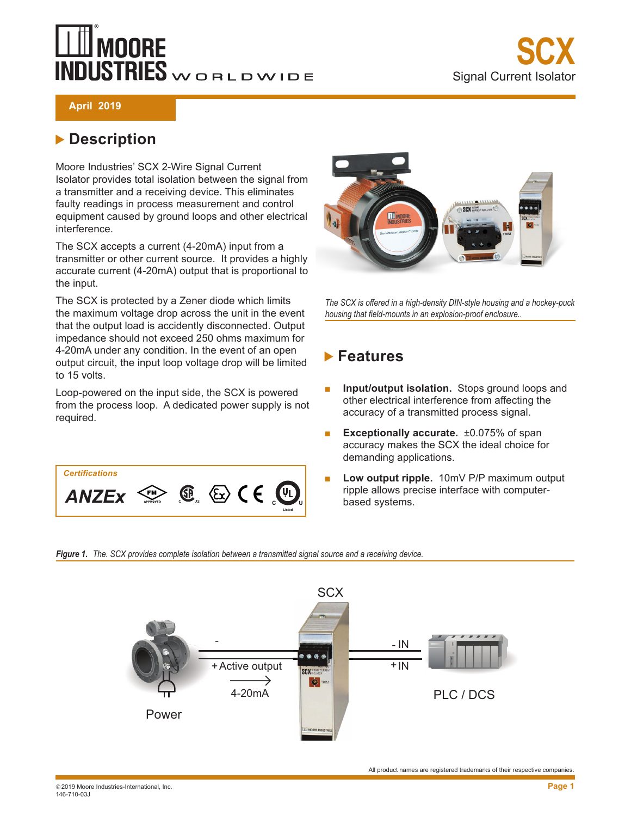# **MOORE NDUSTRIES** WORLDWIDE



**April 2019**

#### **Description**

Moore Industries' SCX 2-Wire Signal Current Isolator provides total isolation between the signal from a transmitter and a receiving device. This eliminates faulty readings in process measurement and control equipment caused by ground loops and other electrical interference.

The SCX accepts a current (4-20mA) input from a transmitter or other current source. It provides a highly accurate current (4-20mA) output that is proportional to the input.

The SCX is protected by a Zener diode which limits the maximum voltage drop across the unit in the event that the output load is accidently disconnected. Output impedance should not exceed 250 ohms maximum for 4-20mA under any condition. In the event of an open output circuit, the input loop voltage drop will be limited to 15 volts.

Loop-powered on the input side, the SCX is powered from the process loop. A dedicated power supply is not required.





*The SCX is offered in a high-density DIN-style housing and a hockey-puck housing that field-mounts in an explosion-proof enclosure..*

#### **Features**

- **Input/output isolation.** Stops ground loops and other electrical interference from affecting the accuracy of a transmitted process signal.
- **Exceptionally accurate.** ±0.075% of span accuracy makes the SCX the ideal choice for demanding applications.
- Low output ripple. 10mV P/P maximum output ripple allows precise interface with computerbased systems.

*Figure 1. The. SCX provides complete isolation between a transmitted signal source and a receiving device.*

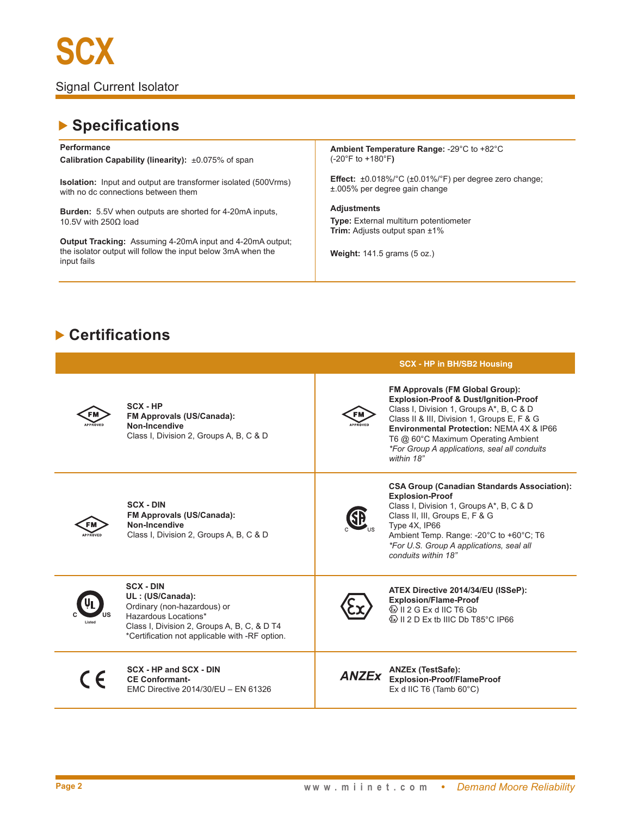### **Specifications**

**Performance**

**Calibration Capability (linearity):** ±0.075% of span

**Isolation:** Input and output are transformer isolated (500Vrms) with no dc connections between them

**Burden:** 5.5V when outputs are shorted for 4-20mA inputs, 10.5V with 250Ω load

**Output Tracking:** Assuming 4-20mA input and 4-20mA output; the isolator output will follow the input below 3mA when the input fails

**Ambient Temperature Range:** -29°C to +82°C (-20°F to +180°F**)**

**Effect:** ±0.018%/°C (±0.01%/°F) per degree zero change; ±.005% per degree gain change

**Adjustments Type:** External multiturn potentiometer **Trim:** Adjusts output span ±1%

**Weight:** 141.5 grams (5 oz.)

#### **Certifications**

|          |                                                                                                                                                                                              |                              | <b>SCX - HP in BH/SB2 Housing</b>                                                                                                                                                                                                                                                                                                      |
|----------|----------------------------------------------------------------------------------------------------------------------------------------------------------------------------------------------|------------------------------|----------------------------------------------------------------------------------------------------------------------------------------------------------------------------------------------------------------------------------------------------------------------------------------------------------------------------------------|
| APPROVED | SCX - HP<br>FM Approvals (US/Canada):<br>Non-Incendive<br>Class I, Division 2, Groups A, B, C & D                                                                                            | <b>FM</b><br><b>APPROVEI</b> | <b>FM Approvals (FM Global Group):</b><br><b>Explosion-Proof &amp; Dust/Ignition-Proof</b><br>Class I, Division 1, Groups A*, B, C & D<br>Class II & III, Division 1, Groups E, F & G<br>Environmental Protection: NEMA 4X & IP66<br>T6 @ 60°C Maximum Operating Ambient<br>*For Group A applications, seal all conduits<br>within 18" |
|          | <b>SCX - DIN</b><br>FM Approvals (US/Canada):<br>Non-Incendive<br>Class I, Division 2, Groups A, B, C & D                                                                                    |                              | <b>CSA Group (Canadian Standards Association):</b><br><b>Explosion-Proof</b><br>Class I, Division 1, Groups A*, B, C & D<br>Class II, III, Groups E, F & G<br>Type 4X, IP66<br>Ambient Temp. Range: -20°C to +60°C; T6<br>*For U.S. Group A applications, seal all<br>conduits within 18"                                              |
|          | <b>SCX - DIN</b><br>UL: (US/Canada):<br>Ordinary (non-hazardous) or<br>Hazardous Locations*<br>Class I, Division 2, Groups A, B, C, & D T4<br>*Certification not applicable with -RF option. |                              | ATEX Directive 2014/34/EU (ISSeP):<br><b>Explosion/Flame-Proof</b><br>$\textcircled{k}$ II 2 G Ex d IIC T6 Gb<br>$\circled{2}$ II 2 D Ex tb IIIC Db T85 $\circ$ C IP66                                                                                                                                                                 |
|          | SCX - HP and SCX - DIN<br><b>CE Conformant-</b><br>EMC Directive 2014/30/EU - EN 61326                                                                                                       | <b>ANZEx</b>                 | <b>ANZEx (TestSafe):</b><br><b>Explosion-Proof/FlameProof</b><br>Ex d IIC T6 (Tamb $60^{\circ}$ C)                                                                                                                                                                                                                                     |